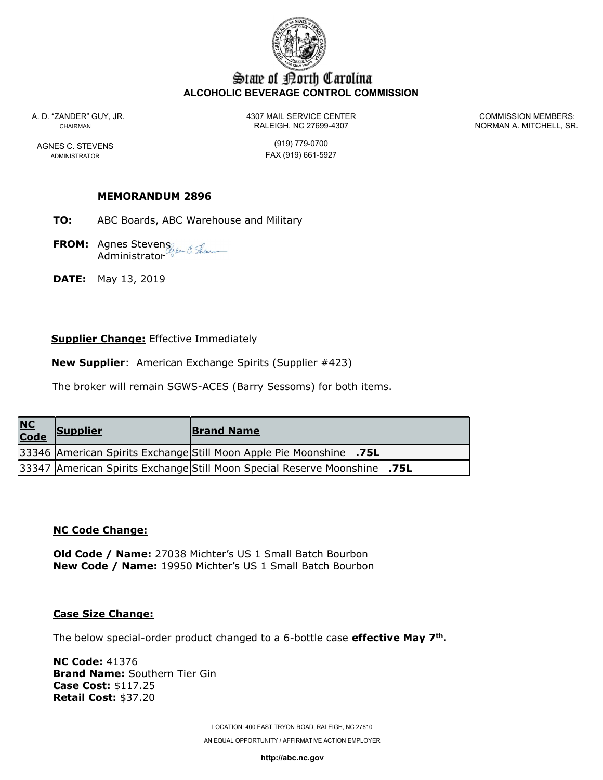

# State of Borth Carolina ALCOHOLIC BEVERAGE CONTROL COMMISSION

A. D. "ZANDER" GUY, JR. 4307 MAIL SERVICE CENTER COMMISSION MEMBERS: CHAIRMAN CHAIRMAN RALEIGH, NC 27699-4307 NORMAN A. MITCHELL, SR.

AGNES C. STEVENS (919) 779-0700 ADMINISTRATOR **FAX** (919) 661-5927

## MEMORANDUM 2896

TO: ABC Boards, ABC Warehouse and Military

**FROM:** Agnes Stevens Administrator

**DATE:** May 13, 2019

## **Supplier Change:** Effective Immediately

New Supplier: American Exchange Spirits (Supplier #423)

The broker will remain SGWS-ACES (Barry Sessoms) for both items.

| <u>NC</u><br>Code | <b>Supplier</b> | <b>Brand Name</b>                                                         |  |
|-------------------|-----------------|---------------------------------------------------------------------------|--|
|                   |                 | 33346 American Spirits Exchange Still Moon Apple Pie Moonshine .75L       |  |
|                   |                 | 33347 American Spirits Exchange Still Moon Special Reserve Moonshine .75L |  |

#### NC Code Change:

Old Code / Name: 27038 Michter's US 1 Small Batch Bourbon New Code / Name: 19950 Michter's US 1 Small Batch Bourbon

#### Case Size Change:

The below special-order product changed to a 6-bottle case **effective May 7<sup>th</sup>.** 

NC Code: 41376 Brand Name: Southern Tier Gin Case Cost: \$117.25 Retail Cost: \$37.20

> LOCATION: 400 EAST TRYON ROAD, RALEIGH, NC 27610 AN EQUAL OPPORTUNITY / AFFIRMATIVE ACTION EMPLOYER

> > http://abc.nc.gov